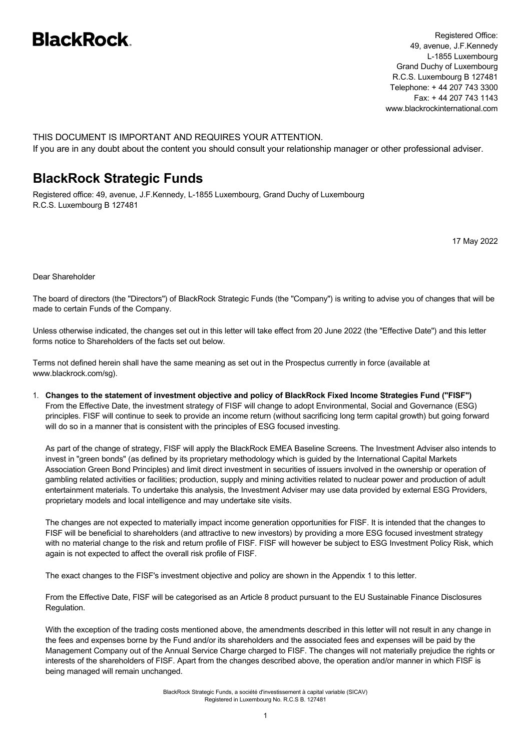# **BlackRock**

Registered Office: 49, avenue, J.F.Kennedy L-1855 Luxembourg Grand Duchy of Luxembourg R.C.S. Luxembourg B 127481 Telephone: + 44 207 743 3300 Fax: + 44 207 743 1143 www.blackrockinternational.com

THIS DOCUMENT IS IMPORTANT AND REQUIRES YOUR ATTENTION. If you are in any doubt about the content you should consult your relationship manager or other professional adviser.

## **BlackRock Strategic Funds**

Registered office: 49, avenue, J.F.Kennedy, L-1855 Luxembourg, Grand Duchy of Luxembourg R.C.S. Luxembourg B 127481

17 May 2022

Dear Shareholder

The board of directors (the "Directors") of BlackRock Strategic Funds (the "Company") is writing to advise you of changes that will be made to certain Funds of the Company.

Unless otherwise indicated, the changes set out in this letter will take effect from 20 June 2022 (the "Effective Date") and this letter forms notice to Shareholders of the facts set out below.

Terms not defined herein shall have the same meaning as set out in the Prospectus currently in force (available at www.blackrock.com/sg).

1. Changes to the statement of investment objective and policy of BlackRock Fixed Income Strategies Fund ("FISF") From the Effective Date, the investment strategy of FISF will change to adopt Environmental, Social and Governance (ESG) principles. FISF will continue to seek to provide an income return (without sacrificing long term capital growth) but going forward will do so in a manner that is consistent with the principles of ESG focused investing.

As part of the change of strategy, FISF will apply the BlackRock EMEA Baseline Screens. The Investment Adviser also intends to invest in "green bonds" (as defined by its proprietary methodology which is guided by the International Capital Markets Association Green Bond Principles) and limit direct investment in securities of issuers involved in the ownership or operation of gambling related activities or facilities; production, supply and mining activities related to nuclear power and production of adult entertainment materials. To undertake this analysis, the Investment Adviser may use data provided by external ESG Providers, proprietary models and local intelligence and may undertake site visits.

The changes are not expected to materially impact income generation opportunities for FISF. It is intended that the changes to FISF will be beneficial to shareholders (and attractive to new investors) by providing a more ESG focused investment strategy with no material change to the risk and return profile of FISF. FISF will however be subject to ESG Investment Policy Risk, which again is not expected to affect the overall risk profile of FISF.

The exact changes to the FISF's investment objective and policy are shown in the Appendix 1 to this letter.

From the Effective Date, FISF will be categorised as an Article 8 product pursuant to the EU Sustainable Finance Disclosures Regulation.

With the exception of the trading costs mentioned above, the amendments described in this letter will not result in any change in the fees and expenses borne by the Fund and/or its shareholders and the associated fees and expenses will be paid by the Management Company out of the Annual Service Charge charged to FISF. The changes will not materially prejudice the rights or interests of the shareholders of FISF. Apart from the changes described above, the operation and/or manner in which FISF is being managed will remain unchanged.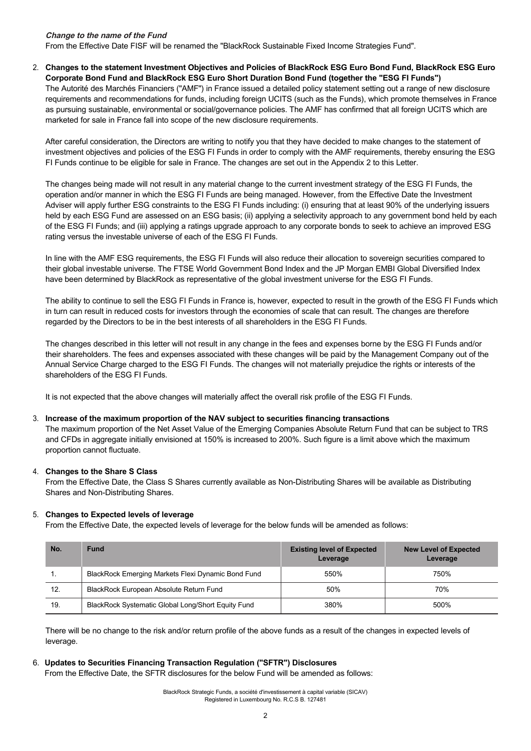#### **Change to the name of the Fund**

From the Effective Date FISF will be renamed the "BlackRock Sustainable Fixed Income Strategies Fund".

2. Changes to the statement Investment Obiectives and Policies of BlackRock ESG Euro Bond Fund, BlackRock ESG Euro **Corporate Bond Fund and BlackRock ESG Euro Short Duration Bond Fund (together the "ESG FI Funds")**

The Autorité des Marchés Financiers ("AMF") in France issued a detailed policy statement setting out a range of new disclosure requirements and recommendations for funds, including foreign UCITS (such as the Funds), which promote themselves in France as pursuing sustainable, environmental or social/governance policies. The AMF has confirmed that all foreign UCITS which are marketed for sale in France fall into scope of the new disclosure requirements.

After careful consideration, the Directors are writing to notify you that they have decided to make changes to the statement of investment objectives and policies of the ESG FI Funds in order to comply with the AMF requirements, thereby ensuring the ESG FI Funds continue to be eligible for sale in France. The changes are set out in the Appendix 2 to this Letter.

The changes being made will not result in any material change to the current investment strategy of the ESG FI Funds, the operation and/or manner in which the ESG FI Funds are being managed. However, from the Effective Date the Investment Adviser will apply further ESG constraints to the ESG FI Funds including: (i) ensuring that at least 90% of the underlying issuers held by each ESG Fund are assessed on an ESG basis; (ii) applying a selectivity approach to any government bond held by each of the ESG FI Funds; and (iii) applying a ratings upgrade approach to any corporate bonds to seek to achieve an improved ESG rating versus the investable universe of each of the ESG FI Funds.

In line with the AMF ESG requirements, the ESG FI Funds will also reduce their allocation to sovereign securities compared to their global investable universe. The FTSE World Government Bond Index and the JP Morgan EMBI Global Diversified Index have been determined by BlackRock as representative of the global investment universe for the ESG FI Funds.

The ability to continue to sell the ESG FI Funds in France is, however, expected to result in the growth of the ESG FI Funds which in turn can result in reduced costs for investors through the economies of scale that can result. The changes are therefore regarded by the Directors to be in the best interests of all shareholders in the ESG FI Funds.

The changes described in this letter will not result in any change in the fees and expenses borne by the ESG FI Funds and/or their shareholders. The fees and expenses associated with these changes will be paid by the Management Company out of the Annual Service Charge charged to the ESG FI Funds. The changes will not materially prejudice the rights or interests of the shareholders of the ESG FI Funds.

It is not expected that the above changes will materially affect the overall risk profile of the ESG FI Funds.

#### 3. **Increase of the maximum proportion of the NAV subject to securities financing transactions**

The maximum proportion of the Net Asset Value of the Emerging Companies Absolute Return Fund that can be subject to TRS and CFDs in aggregate initially envisioned at 150% is increased to 200%. Such figure is a limit above which the maximum proportion cannot fluctuate.

#### 4. **Changes to the Share S Class**

From the Effective Date, the Class S Shares currently available as Non-Distributing Shares will be available as Distributing Shares and Non-Distributing Shares.

#### 5. **Changes to Expected levels of leverage**

From the Effective Date, the expected levels of leverage for the below funds will be amended as follows:

| No. | <b>Fund</b>                                        | <b>Existing level of Expected</b><br>Leverage | <b>New Level of Expected</b><br>Leverage |
|-----|----------------------------------------------------|-----------------------------------------------|------------------------------------------|
|     | BlackRock Emerging Markets Flexi Dynamic Bond Fund | 550%                                          | 750%                                     |
| 12. | BlackRock European Absolute Return Fund            | 50%                                           | 70%                                      |
| 19. | BlackRock Systematic Global Long/Short Equity Fund | 380%                                          | 500%                                     |

There will be no change to the risk and/or return profile of the above funds as a result of the changes in expected levels of leverage.

#### 6. **Updates to Securities Financing Transaction Regulation ("SFTR") Disclosures**

From the Effective Date, the SFTR disclosures for the below Fund will be amended as follows: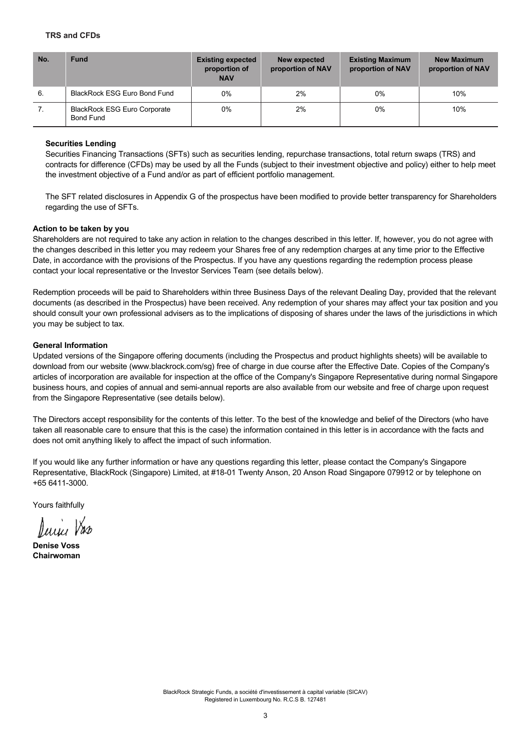#### **TRS and CFDs**

| No. | <b>Fund</b>                                             | <b>Existing expected</b><br>proportion of<br><b>NAV</b> | New expected<br>proportion of NAV | <b>Existing Maximum</b><br>proportion of NAV | <b>New Maximum</b><br>proportion of NAV |
|-----|---------------------------------------------------------|---------------------------------------------------------|-----------------------------------|----------------------------------------------|-----------------------------------------|
| 6.  | BlackRock ESG Euro Bond Fund                            | 0%                                                      | 2%                                | $0\%$                                        | 10%                                     |
| 7.  | <b>BlackRock ESG Euro Corporate</b><br><b>Bond Fund</b> | 0%                                                      | 2%                                | $0\%$                                        | 10%                                     |

#### **Securities Lending**

Securities Financing Transactions (SFTs) such as securities lending, repurchase transactions, total return swaps (TRS) and contracts for difference (CFDs) may be used by all the Funds (subject to their investment objective and policy) either to help meet the investment objective of a Fund and/or as part of efficient portfolio management.

The SFT related disclosures in Appendix G of the prospectus have been modified to provide better transparency for Shareholders regarding the use of SFTs.

#### **Action to be taken by you**

Shareholders are not required to take any action in relation to the changes described in this letter. If, however, you do not agree with the changes described in this letter you may redeem your Shares free of any redemption charges at any time prior to the Effective Date, in accordance with the provisions of the Prospectus. If you have any questions regarding the redemption process please contact your local representative or the Investor Services Team (see details below).

Redemption proceeds will be paid to Shareholders within three Business Days of the relevant Dealing Day, provided that the relevant documents (as described in the Prospectus) have been received. Any redemption of your shares may affect your tax position and you should consult your own professional advisers as to the implications of disposing of shares under the laws of the jurisdictions in which you may be subject to tax.

#### **General Information**

Updated versions of the Singapore offering documents (including the Prospectus and product highlights sheets) will be available to download from our website (www.blackrock.com/sg) free of charge in due course after the Effective Date. Copies of the Company's articles of incorporation are available for inspection at the office of the Company's Singapore Representative during normal Singapore business hours, and copies of annual and semi-annual reports are also available from our website and free of charge upon request from the Singapore Representative (see details below).

The Directors accept responsibility for the contents of this letter. To the best of the knowledge and belief of the Directors (who have taken all reasonable care to ensure that this is the case) the information contained in this letter is in accordance with the facts and does not omit anything likely to affect the impact of such information.

If you would like any further information or have any questions regarding this letter, please contact the Company's Singapore Representative, BlackRock (Singapore) Limited, at #18-01 Twenty Anson, 20 Anson Road Singapore 079912 or by telephone on +65 6411-3000.

Yours faithfully

Jane V

**Denise Voss Chairwoman**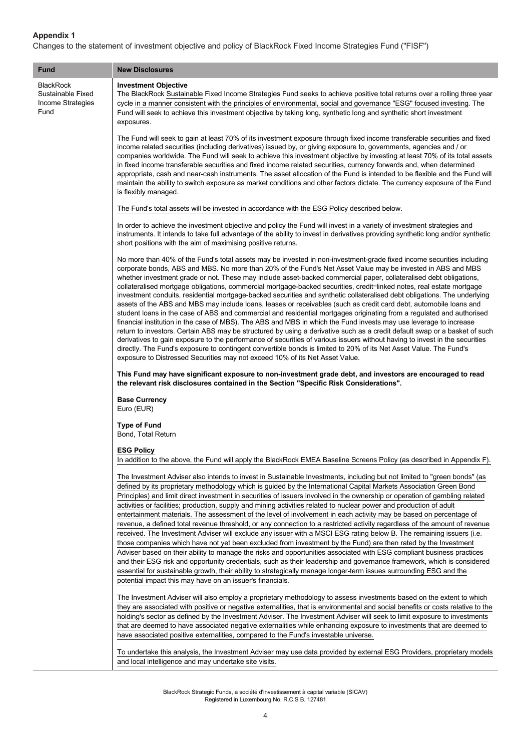### **Appendix 1**

I

Changes to the statement of investment objective and policy of BlackRock Fixed Income Strategies Fund ("FISF")

| <b>Fund</b>                                                        | <b>New Disclosures</b>                                                                                                                                                                                                                                                                                                                                                                                                                                                                                                                                                                                                                                                                                                                                                                                                                                                                                                                                                                                                                                                                                                                                                                                                                                                                                                                                                                                                                                  |  |  |
|--------------------------------------------------------------------|---------------------------------------------------------------------------------------------------------------------------------------------------------------------------------------------------------------------------------------------------------------------------------------------------------------------------------------------------------------------------------------------------------------------------------------------------------------------------------------------------------------------------------------------------------------------------------------------------------------------------------------------------------------------------------------------------------------------------------------------------------------------------------------------------------------------------------------------------------------------------------------------------------------------------------------------------------------------------------------------------------------------------------------------------------------------------------------------------------------------------------------------------------------------------------------------------------------------------------------------------------------------------------------------------------------------------------------------------------------------------------------------------------------------------------------------------------|--|--|
| <b>BlackRock</b><br>Sustainable Fixed<br>Income Strategies<br>Fund | <b>Investment Objective</b><br>The BlackRock Sustainable Fixed Income Strategies Fund seeks to achieve positive total returns over a rolling three year<br>cycle in a manner consistent with the principles of environmental, social and governance "ESG" focused investing. The<br>Fund will seek to achieve this investment objective by taking long, synthetic long and synthetic short investment<br>exposures.                                                                                                                                                                                                                                                                                                                                                                                                                                                                                                                                                                                                                                                                                                                                                                                                                                                                                                                                                                                                                                     |  |  |
|                                                                    | The Fund will seek to gain at least 70% of its investment exposure through fixed income transferable securities and fixed<br>income related securities (including derivatives) issued by, or giving exposure to, governments, agencies and / or<br>companies worldwide. The Fund will seek to achieve this investment objective by investing at least 70% of its total assets<br>in fixed income transferable securities and fixed income related securities, currency forwards and, when determined<br>appropriate, cash and near-cash instruments. The asset allocation of the Fund is intended to be flexible and the Fund will<br>maintain the ability to switch exposure as market conditions and other factors dictate. The currency exposure of the Fund<br>is flexibly managed.                                                                                                                                                                                                                                                                                                                                                                                                                                                                                                                                                                                                                                                                 |  |  |
|                                                                    | The Fund's total assets will be invested in accordance with the ESG Policy described below.                                                                                                                                                                                                                                                                                                                                                                                                                                                                                                                                                                                                                                                                                                                                                                                                                                                                                                                                                                                                                                                                                                                                                                                                                                                                                                                                                             |  |  |
|                                                                    | In order to achieve the investment objective and policy the Fund will invest in a variety of investment strategies and<br>instruments. It intends to take full advantage of the ability to invest in derivatives providing synthetic long and/or synthetic<br>short positions with the aim of maximising positive returns.                                                                                                                                                                                                                                                                                                                                                                                                                                                                                                                                                                                                                                                                                                                                                                                                                                                                                                                                                                                                                                                                                                                              |  |  |
|                                                                    | No more than 40% of the Fund's total assets may be invested in non-investment-grade fixed income securities including<br>corporate bonds, ABS and MBS. No more than 20% of the Fund's Net Asset Value may be invested in ABS and MBS<br>whether investment grade or not. These may include asset-backed commercial paper, collateralised debt obligations,<br>collateralised mortgage obligations, commercial mortgage-backed securities, credit-linked notes, real estate mortgage<br>investment conduits, residential mortgage-backed securities and synthetic collateralised debt obligations. The underlying<br>assets of the ABS and MBS may include loans, leases or receivables (such as credit card debt, automobile loans and<br>student loans in the case of ABS and commercial and residential mortgages originating from a regulated and authorised<br>financial institution in the case of MBS). The ABS and MBS in which the Fund invests may use leverage to increase<br>return to investors. Certain ABS may be structured by using a derivative such as a credit default swap or a basket of such<br>derivatives to gain exposure to the performance of securities of various issuers without having to invest in the securities<br>directly. The Fund's exposure to contingent convertible bonds is limited to 20% of its Net Asset Value. The Fund's<br>exposure to Distressed Securities may not exceed 10% of its Net Asset Value. |  |  |
|                                                                    | This Fund may have significant exposure to non-investment grade debt, and investors are encouraged to read<br>the relevant risk disclosures contained in the Section "Specific Risk Considerations".                                                                                                                                                                                                                                                                                                                                                                                                                                                                                                                                                                                                                                                                                                                                                                                                                                                                                                                                                                                                                                                                                                                                                                                                                                                    |  |  |
|                                                                    | <b>Base Currency</b><br>Euro (EUR)                                                                                                                                                                                                                                                                                                                                                                                                                                                                                                                                                                                                                                                                                                                                                                                                                                                                                                                                                                                                                                                                                                                                                                                                                                                                                                                                                                                                                      |  |  |
|                                                                    | <b>Type of Fund</b><br>Bond, Total Return                                                                                                                                                                                                                                                                                                                                                                                                                                                                                                                                                                                                                                                                                                                                                                                                                                                                                                                                                                                                                                                                                                                                                                                                                                                                                                                                                                                                               |  |  |
|                                                                    | <b>ESG Policy</b><br>In addition to the above, the Fund will apply the BlackRock EMEA Baseline Screens Policy (as described in Appendix F).                                                                                                                                                                                                                                                                                                                                                                                                                                                                                                                                                                                                                                                                                                                                                                                                                                                                                                                                                                                                                                                                                                                                                                                                                                                                                                             |  |  |
|                                                                    | The Investment Adviser also intends to invest in Sustainable Investments, including but not limited to "green bonds" (as<br>defined by its proprietary methodology which is guided by the International Capital Markets Association Green Bond<br>Principles) and limit direct investment in securities of issuers involved in the ownership or operation of gambling related<br>activities or facilities; production, supply and mining activities related to nuclear power and production of adult<br>entertainment materials. The assessment of the level of involvement in each activity may be based on percentage of<br>revenue, a defined total revenue threshold, or any connection to a restricted activity regardless of the amount of revenue<br>received. The Investment Adviser will exclude any issuer with a MSCI ESG rating below B. The remaining issuers (i.e.<br>those companies which have not yet been excluded from investment by the Fund) are then rated by the Investment<br>Adviser based on their ability to manage the risks and opportunities associated with ESG compliant business practices<br>and their ESG risk and opportunity credentials, such as their leadership and governance framework, which is considered<br>essential for sustainable growth, their ability to strategically manage longer-term issues surrounding ESG and the<br>potential impact this may have on an issuer's financials.                |  |  |
|                                                                    | The Investment Adviser will also employ a proprietary methodology to assess investments based on the extent to which<br>they are associated with positive or negative externalities, that is environmental and social benefits or costs relative to the<br>holding's sector as defined by the Investment Adviser. The Investment Adviser will seek to limit exposure to investments<br>that are deemed to have associated negative externalities while enhancing exposure to investments that are deemed to<br>have associated positive externalities, compared to the Fund's investable universe.                                                                                                                                                                                                                                                                                                                                                                                                                                                                                                                                                                                                                                                                                                                                                                                                                                                      |  |  |
|                                                                    | To undertake this analysis, the Investment Adviser may use data provided by external ESG Providers, proprietary models<br>and local intelligence and may undertake site visits.                                                                                                                                                                                                                                                                                                                                                                                                                                                                                                                                                                                                                                                                                                                                                                                                                                                                                                                                                                                                                                                                                                                                                                                                                                                                         |  |  |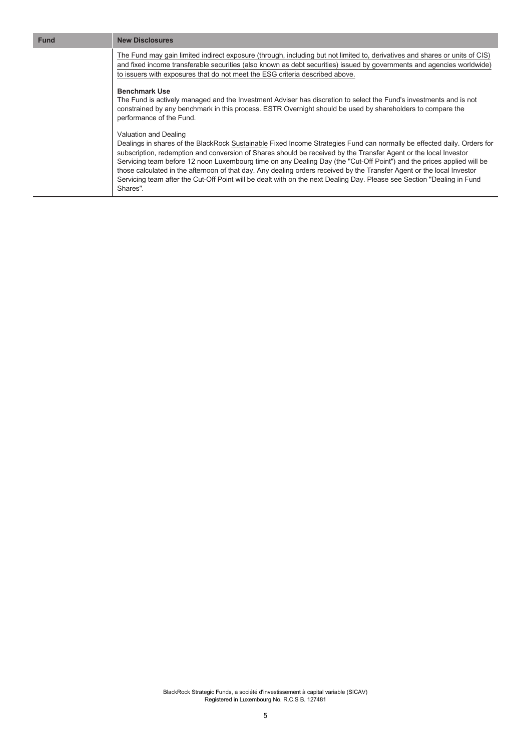The Fund may gain limited indirect exposure (through, including but not limited to, derivatives and shares or units of CIS) and fixed income transferable securities (also known as debt securities) issued by governments and agencies worldwide) to issuers with exposures that do not meet the ESG criteria described above.

#### **Benchmark Use**

The Fund is actively managed and the Investment Adviser has discretion to select the Fund's investments and is not constrained by any benchmark in this process. ESTR Overnight should be used by shareholders to compare the performance of the Fund.

#### Valuation and Dealing

Dealings in shares of the BlackRock Sustainable Fixed Income Strategies Fund can normally be effected daily. Orders for subscription, redemption and conversion of Shares should be received by the Transfer Agent or the local Investor Servicing team before 12 noon Luxembourg time on any Dealing Day (the "Cut-Off Point") and the prices applied will be those calculated in the afternoon of that day. Any dealing orders received by the Transfer Agent or the local Investor Servicing team after the Cut-Off Point will be dealt with on the next Dealing Day. Please see Section "Dealing in Fund Shares".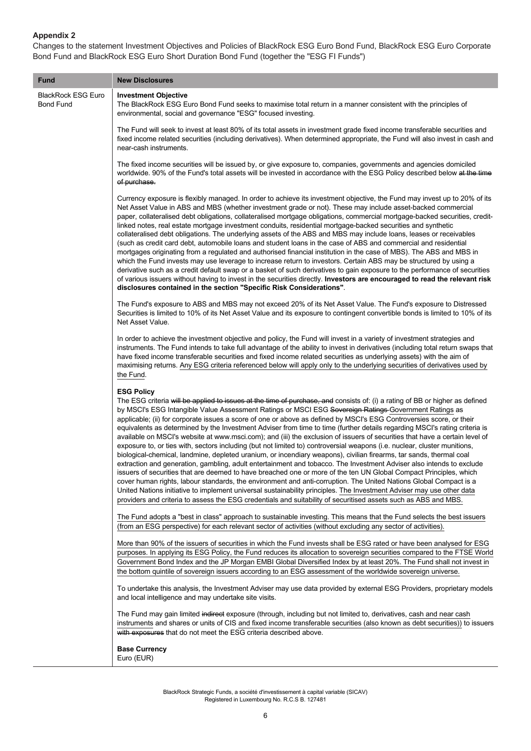### **Appendix 2**

Changes to the statement Investment Objectives and Policies of BlackRock ESG Euro Bond Fund, BlackRock ESG Euro Corporate Bond Fund and BlackRock ESG Euro Short Duration Bond Fund (together the "ESG FI Funds")

| <b>Fund</b>                                   | <b>New Disclosures</b>                                                                                                                                                                                                                                                                                                                                                                                                                                                                                                                                                                                                                                                                                                                                                                                                                                                                                                                                                                                                                                                                                                                                                                                                                                                                                                                                                                                                                                                                                            |
|-----------------------------------------------|-------------------------------------------------------------------------------------------------------------------------------------------------------------------------------------------------------------------------------------------------------------------------------------------------------------------------------------------------------------------------------------------------------------------------------------------------------------------------------------------------------------------------------------------------------------------------------------------------------------------------------------------------------------------------------------------------------------------------------------------------------------------------------------------------------------------------------------------------------------------------------------------------------------------------------------------------------------------------------------------------------------------------------------------------------------------------------------------------------------------------------------------------------------------------------------------------------------------------------------------------------------------------------------------------------------------------------------------------------------------------------------------------------------------------------------------------------------------------------------------------------------------|
| <b>BlackRock ESG Euro</b><br><b>Bond Fund</b> | <b>Investment Objective</b><br>The BlackRock ESG Euro Bond Fund seeks to maximise total return in a manner consistent with the principles of<br>environmental, social and governance "ESG" focused investing.                                                                                                                                                                                                                                                                                                                                                                                                                                                                                                                                                                                                                                                                                                                                                                                                                                                                                                                                                                                                                                                                                                                                                                                                                                                                                                     |
|                                               | The Fund will seek to invest at least 80% of its total assets in investment grade fixed income transferable securities and<br>fixed income related securities (including derivatives). When determined appropriate, the Fund will also invest in cash and<br>near-cash instruments.                                                                                                                                                                                                                                                                                                                                                                                                                                                                                                                                                                                                                                                                                                                                                                                                                                                                                                                                                                                                                                                                                                                                                                                                                               |
|                                               | The fixed income securities will be issued by, or give exposure to, companies, governments and agencies domiciled<br>worldwide. 90% of the Fund's total assets will be invested in accordance with the ESG Policy described below at the time<br>of purchase.                                                                                                                                                                                                                                                                                                                                                                                                                                                                                                                                                                                                                                                                                                                                                                                                                                                                                                                                                                                                                                                                                                                                                                                                                                                     |
|                                               | Currency exposure is flexibly managed. In order to achieve its investment objective, the Fund may invest up to 20% of its<br>Net Asset Value in ABS and MBS (whether investment grade or not). These may include asset-backed commercial<br>paper, collateralised debt obligations, collateralised mortgage obligations, commercial mortgage-backed securities, credit-<br>linked notes, real estate mortgage investment conduits, residential mortgage-backed securities and synthetic<br>collateralised debt obligations. The underlying assets of the ABS and MBS may include loans, leases or receivables<br>(such as credit card debt, automobile loans and student loans in the case of ABS and commercial and residential<br>mortgages originating from a regulated and authorised financial institution in the case of MBS). The ABS and MBS in<br>which the Fund invests may use leverage to increase return to investors. Certain ABS may be structured by using a<br>derivative such as a credit default swap or a basket of such derivatives to gain exposure to the performance of securities<br>of various issuers without having to invest in the securities directly. Investors are encouraged to read the relevant risk<br>disclosures contained in the section "Specific Risk Considerations".                                                                                                                                                                                                  |
|                                               | The Fund's exposure to ABS and MBS may not exceed 20% of its Net Asset Value. The Fund's exposure to Distressed<br>Securities is limited to 10% of its Net Asset Value and its exposure to contingent convertible bonds is limited to 10% of its<br>Net Asset Value.                                                                                                                                                                                                                                                                                                                                                                                                                                                                                                                                                                                                                                                                                                                                                                                                                                                                                                                                                                                                                                                                                                                                                                                                                                              |
|                                               | In order to achieve the investment objective and policy, the Fund will invest in a variety of investment strategies and<br>instruments. The Fund intends to take full advantage of the ability to invest in derivatives (including total return swaps that<br>have fixed income transferable securities and fixed income related securities as underlying assets) with the aim of<br>maximising returns. Any ESG criteria referenced below will apply only to the underlying securities of derivatives used by<br>the Fund.                                                                                                                                                                                                                                                                                                                                                                                                                                                                                                                                                                                                                                                                                                                                                                                                                                                                                                                                                                                       |
|                                               | <b>ESG Policy</b><br>The ESG criteria will be applied to issues at the time of purchase, and consists of: (i) a rating of BB or higher as defined<br>by MSCI's ESG Intangible Value Assessment Ratings or MSCI ESG Sovereign Ratings Government Ratings as<br>applicable; (ii) for corporate issues a score of one or above as defined by MSCI's ESG Controversies score, or their<br>equivalents as determined by the Investment Adviser from time to time (further details regarding MSCI's rating criteria is<br>available on MSCI's website at www.msci.com); and (iii) the exclusion of issuers of securities that have a certain level of<br>exposure to, or ties with, sectors including (but not limited to) controversial weapons (i.e. nuclear, cluster munitions,<br>biological-chemical, landmine, depleted uranium, or incendiary weapons), civilian firearms, tar sands, thermal coal<br>extraction and generation, gambling, adult entertainment and tobacco. The Investment Adviser also intends to exclude<br>issuers of securities that are deemed to have breached one or more of the ten UN Global Compact Principles, which<br>cover human rights, labour standards, the environment and anti-corruption. The United Nations Global Compact is a<br>United Nations initiative to implement universal sustainability principles. The Investment Adviser may use other data<br>providers and criteria to assess the ESG credentials and suitability of securitised assets such as ABS and MBS. |
|                                               | The Fund adopts a "best in class" approach to sustainable investing. This means that the Fund selects the best issuers<br>(from an ESG perspective) for each relevant sector of activities (without excluding any sector of activities).                                                                                                                                                                                                                                                                                                                                                                                                                                                                                                                                                                                                                                                                                                                                                                                                                                                                                                                                                                                                                                                                                                                                                                                                                                                                          |
|                                               | More than 90% of the issuers of securities in which the Fund invests shall be ESG rated or have been analysed for ESG<br>purposes. In applying its ESG Policy, the Fund reduces its allocation to sovereign securities compared to the FTSE World<br>Government Bond Index and the JP Morgan EMBI Global Diversified Index by at least 20%. The Fund shall not invest in<br>the bottom quintile of sovereign issuers according to an ESG assessment of the worldwide sovereign universe.                                                                                                                                                                                                                                                                                                                                                                                                                                                                                                                                                                                                                                                                                                                                                                                                                                                                                                                                                                                                                          |
|                                               | To undertake this analysis, the Investment Adviser may use data provided by external ESG Providers, proprietary models<br>and local intelligence and may undertake site visits.                                                                                                                                                                                                                                                                                                                                                                                                                                                                                                                                                                                                                                                                                                                                                                                                                                                                                                                                                                                                                                                                                                                                                                                                                                                                                                                                   |
|                                               | The Fund may gain limited indirect exposure (through, including but not limited to, derivatives, cash and near cash<br>instruments and shares or units of CIS and fixed income transferable securities (also known as debt securities)) to issuers<br>with exposures that do not meet the ESG criteria described above.                                                                                                                                                                                                                                                                                                                                                                                                                                                                                                                                                                                                                                                                                                                                                                                                                                                                                                                                                                                                                                                                                                                                                                                           |
|                                               | <b>Base Currency</b><br>Euro (EUR)                                                                                                                                                                                                                                                                                                                                                                                                                                                                                                                                                                                                                                                                                                                                                                                                                                                                                                                                                                                                                                                                                                                                                                                                                                                                                                                                                                                                                                                                                |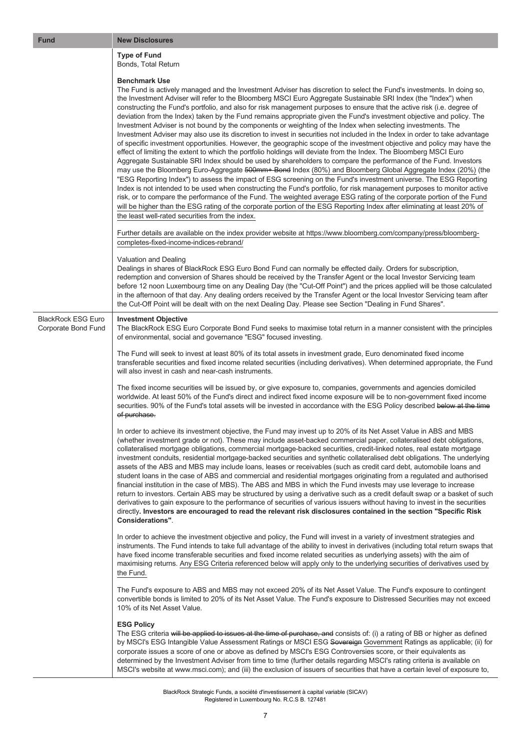| <b>Fund</b>                                      | <b>New Disclosures</b>                                                                                                                                                                                                                                                                                                                                                                                                                                                                                                                                                                                                                                                                                                                                                                                                                                                                                                                                                                                                                                                                                                                                                                                                                                                                                                                                                                                                                                                                                                                                                                                                                                                                                                                                                                                          |
|--------------------------------------------------|-----------------------------------------------------------------------------------------------------------------------------------------------------------------------------------------------------------------------------------------------------------------------------------------------------------------------------------------------------------------------------------------------------------------------------------------------------------------------------------------------------------------------------------------------------------------------------------------------------------------------------------------------------------------------------------------------------------------------------------------------------------------------------------------------------------------------------------------------------------------------------------------------------------------------------------------------------------------------------------------------------------------------------------------------------------------------------------------------------------------------------------------------------------------------------------------------------------------------------------------------------------------------------------------------------------------------------------------------------------------------------------------------------------------------------------------------------------------------------------------------------------------------------------------------------------------------------------------------------------------------------------------------------------------------------------------------------------------------------------------------------------------------------------------------------------------|
|                                                  | <b>Type of Fund</b><br>Bonds, Total Return                                                                                                                                                                                                                                                                                                                                                                                                                                                                                                                                                                                                                                                                                                                                                                                                                                                                                                                                                                                                                                                                                                                                                                                                                                                                                                                                                                                                                                                                                                                                                                                                                                                                                                                                                                      |
|                                                  | <b>Benchmark Use</b><br>The Fund is actively managed and the Investment Adviser has discretion to select the Fund's investments. In doing so,<br>the Investment Adviser will refer to the Bloomberg MSCI Euro Aggregate Sustainable SRI Index (the "Index") when<br>constructing the Fund's portfolio, and also for risk management purposes to ensure that the active risk (i.e. degree of<br>deviation from the Index) taken by the Fund remains appropriate given the Fund's investment objective and policy. The<br>Investment Adviser is not bound by the components or weighting of the Index when selecting investments. The<br>Investment Adviser may also use its discretion to invest in securities not included in the Index in order to take advantage<br>of specific investment opportunities. However, the geographic scope of the investment objective and policy may have the<br>effect of limiting the extent to which the portfolio holdings will deviate from the Index. The Bloomberg MSCI Euro<br>Aggregate Sustainable SRI Index should be used by shareholders to compare the performance of the Fund. Investors<br>may use the Bloomberg Euro-Aggregate 500mm+ Bond Index (80%) and Bloomberg Global Aggregate Index (20%) (the<br>"ESG Reporting Index") to assess the impact of ESG screening on the Fund's investment universe. The ESG Reporting<br>Index is not intended to be used when constructing the Fund's portfolio, for risk management purposes to monitor active<br>risk, or to compare the performance of the Fund. The weighted average ESG rating of the corporate portion of the Fund<br>will be higher than the ESG rating of the corporate portion of the ESG Reporting Index after eliminating at least 20% of<br>the least well-rated securities from the index. |
|                                                  | Further details are available on the index provider website at https://www.bloomberg.com/company/press/bloomberg-<br>completes-fixed-income-indices-rebrand/                                                                                                                                                                                                                                                                                                                                                                                                                                                                                                                                                                                                                                                                                                                                                                                                                                                                                                                                                                                                                                                                                                                                                                                                                                                                                                                                                                                                                                                                                                                                                                                                                                                    |
|                                                  | Valuation and Dealing<br>Dealings in shares of BlackRock ESG Euro Bond Fund can normally be effected daily. Orders for subscription,<br>redemption and conversion of Shares should be received by the Transfer Agent or the local Investor Servicing team<br>before 12 noon Luxembourg time on any Dealing Day (the "Cut-Off Point") and the prices applied will be those calculated<br>in the afternoon of that day. Any dealing orders received by the Transfer Agent or the local Investor Servicing team after<br>the Cut-Off Point will be dealt with on the next Dealing Day. Please see Section "Dealing in Fund Shares".                                                                                                                                                                                                                                                                                                                                                                                                                                                                                                                                                                                                                                                                                                                                                                                                                                                                                                                                                                                                                                                                                                                                                                                |
| <b>BlackRock ESG Euro</b><br>Corporate Bond Fund | <b>Investment Objective</b><br>The BlackRock ESG Euro Corporate Bond Fund seeks to maximise total return in a manner consistent with the principles<br>of environmental, social and governance "ESG" focused investing.                                                                                                                                                                                                                                                                                                                                                                                                                                                                                                                                                                                                                                                                                                                                                                                                                                                                                                                                                                                                                                                                                                                                                                                                                                                                                                                                                                                                                                                                                                                                                                                         |
|                                                  | The Fund will seek to invest at least 80% of its total assets in investment grade, Euro denominated fixed income<br>transferable securities and fixed income related securities (including derivatives). When determined appropriate, the Fund<br>will also invest in cash and near-cash instruments.                                                                                                                                                                                                                                                                                                                                                                                                                                                                                                                                                                                                                                                                                                                                                                                                                                                                                                                                                                                                                                                                                                                                                                                                                                                                                                                                                                                                                                                                                                           |
|                                                  | The fixed income securities will be issued by, or give exposure to, companies, governments and agencies domiciled<br>worldwide. At least 50% of the Fund's direct and indirect fixed income exposure will be to non-government fixed income<br>securities. 90% of the Fund's total assets will be invested in accordance with the ESG Policy described below at the time<br>of purchase.                                                                                                                                                                                                                                                                                                                                                                                                                                                                                                                                                                                                                                                                                                                                                                                                                                                                                                                                                                                                                                                                                                                                                                                                                                                                                                                                                                                                                        |
|                                                  | In order to achieve its investment objective, the Fund may invest up to 20% of its Net Asset Value in ABS and MBS<br>(whether investment grade or not). These may include asset-backed commercial paper, collateralised debt obligations,<br>collateralised mortgage obligations, commercial mortgage-backed securities, credit-linked notes, real estate mortgage<br>investment conduits, residential mortgage-backed securities and synthetic collateralised debt obligations. The underlying<br>assets of the ABS and MBS may include loans, leases or receivables (such as credit card debt, automobile loans and<br>student loans in the case of ABS and commercial and residential mortgages originating from a regulated and authorised<br>financial institution in the case of MBS). The ABS and MBS in which the Fund invests may use leverage to increase<br>return to investors. Certain ABS may be structured by using a derivative such as a credit default swap or a basket of such<br>derivatives to gain exposure to the performance of securities of various issuers without having to invest in the securities<br>directly. Investors are encouraged to read the relevant risk disclosures contained in the section "Specific Risk<br>Considerations".                                                                                                                                                                                                                                                                                                                                                                                                                                                                                                                                        |
|                                                  | In order to achieve the investment objective and policy, the Fund will invest in a variety of investment strategies and<br>instruments. The Fund intends to take full advantage of the ability to invest in derivatives (including total return swaps that<br>have fixed income transferable securities and fixed income related securities as underlying assets) with the aim of<br>maximising returns. Any ESG Criteria referenced below will apply only to the underlying securities of derivatives used by<br>the Fund.                                                                                                                                                                                                                                                                                                                                                                                                                                                                                                                                                                                                                                                                                                                                                                                                                                                                                                                                                                                                                                                                                                                                                                                                                                                                                     |
|                                                  | The Fund's exposure to ABS and MBS may not exceed 20% of its Net Asset Value. The Fund's exposure to contingent<br>convertible bonds is limited to 20% of its Net Asset Value. The Fund's exposure to Distressed Securities may not exceed<br>10% of its Net Asset Value.                                                                                                                                                                                                                                                                                                                                                                                                                                                                                                                                                                                                                                                                                                                                                                                                                                                                                                                                                                                                                                                                                                                                                                                                                                                                                                                                                                                                                                                                                                                                       |
|                                                  | <b>ESG Policy</b><br>The ESG criteria will be applied to issues at the time of purchase, and consists of: (i) a rating of BB or higher as defined<br>by MSCI's ESG Intangible Value Assessment Ratings or MSCI ESG Sovereign Government Ratings as applicable; (ii) for<br>corporate issues a score of one or above as defined by MSCI's ESG Controversies score, or their equivalents as<br>determined by the Investment Adviser from time to time (further details regarding MSCI's rating criteria is available on<br>MSCI's website at www.msci.com); and (iii) the exclusion of issuers of securities that have a certain level of exposure to,                                                                                                                                                                                                                                                                                                                                                                                                                                                                                                                                                                                                                                                                                                                                                                                                                                                                                                                                                                                                                                                                                                                                                            |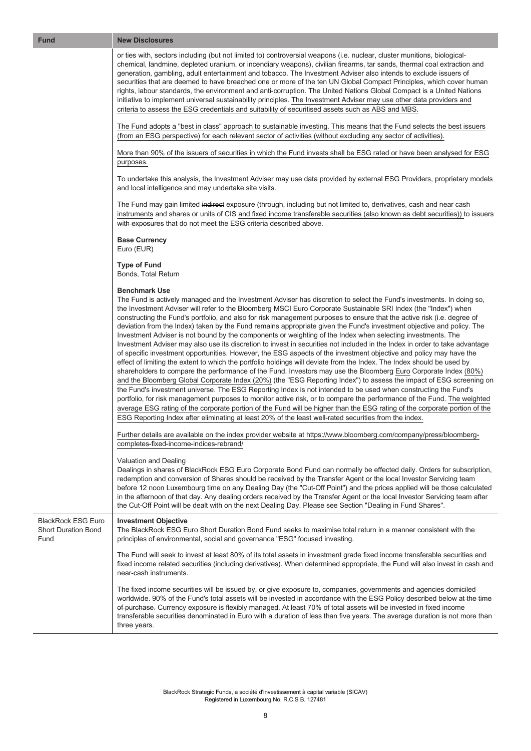| <b>Fund</b>                                                     | <b>New Disclosures</b>                                                                                                                                                                                                                                                                                                                                                                                                                                                                                                                                                                                                                                                                                                                                                                                                                                                                                                                                                                                                                                                                                                                                                                                                                                                                                                                                                                                                                                                                                                                                                                                                                                                                                                                            |  |
|-----------------------------------------------------------------|---------------------------------------------------------------------------------------------------------------------------------------------------------------------------------------------------------------------------------------------------------------------------------------------------------------------------------------------------------------------------------------------------------------------------------------------------------------------------------------------------------------------------------------------------------------------------------------------------------------------------------------------------------------------------------------------------------------------------------------------------------------------------------------------------------------------------------------------------------------------------------------------------------------------------------------------------------------------------------------------------------------------------------------------------------------------------------------------------------------------------------------------------------------------------------------------------------------------------------------------------------------------------------------------------------------------------------------------------------------------------------------------------------------------------------------------------------------------------------------------------------------------------------------------------------------------------------------------------------------------------------------------------------------------------------------------------------------------------------------------------|--|
|                                                                 | or ties with, sectors including (but not limited to) controversial weapons (i.e. nuclear, cluster munitions, biological-<br>chemical, landmine, depleted uranium, or incendiary weapons), civilian firearms, tar sands, thermal coal extraction and<br>generation, gambling, adult entertainment and tobacco. The Investment Adviser also intends to exclude issuers of<br>securities that are deemed to have breached one or more of the ten UN Global Compact Principles, which cover human<br>rights, labour standards, the environment and anti-corruption. The United Nations Global Compact is a United Nations<br>initiative to implement universal sustainability principles. The Investment Adviser may use other data providers and<br>criteria to assess the ESG credentials and suitability of securitised assets such as ABS and MBS.                                                                                                                                                                                                                                                                                                                                                                                                                                                                                                                                                                                                                                                                                                                                                                                                                                                                                                |  |
|                                                                 | The Fund adopts a "best in class" approach to sustainable investing. This means that the Fund selects the best issuers<br>(from an ESG perspective) for each relevant sector of activities (without excluding any sector of activities).                                                                                                                                                                                                                                                                                                                                                                                                                                                                                                                                                                                                                                                                                                                                                                                                                                                                                                                                                                                                                                                                                                                                                                                                                                                                                                                                                                                                                                                                                                          |  |
|                                                                 | More than 90% of the issuers of securities in which the Fund invests shall be ESG rated or have been analysed for ESG<br>purposes.                                                                                                                                                                                                                                                                                                                                                                                                                                                                                                                                                                                                                                                                                                                                                                                                                                                                                                                                                                                                                                                                                                                                                                                                                                                                                                                                                                                                                                                                                                                                                                                                                |  |
|                                                                 | To undertake this analysis, the Investment Adviser may use data provided by external ESG Providers, proprietary models<br>and local intelligence and may undertake site visits.                                                                                                                                                                                                                                                                                                                                                                                                                                                                                                                                                                                                                                                                                                                                                                                                                                                                                                                                                                                                                                                                                                                                                                                                                                                                                                                                                                                                                                                                                                                                                                   |  |
|                                                                 | The Fund may gain limited indirect exposure (through, including but not limited to, derivatives, cash and near cash<br>instruments and shares or units of CIS and fixed income transferable securities (also known as debt securities)) to issuers<br>with exposures that do not meet the ESG criteria described above.                                                                                                                                                                                                                                                                                                                                                                                                                                                                                                                                                                                                                                                                                                                                                                                                                                                                                                                                                                                                                                                                                                                                                                                                                                                                                                                                                                                                                           |  |
|                                                                 | <b>Base Currency</b><br>Euro (EUR)                                                                                                                                                                                                                                                                                                                                                                                                                                                                                                                                                                                                                                                                                                                                                                                                                                                                                                                                                                                                                                                                                                                                                                                                                                                                                                                                                                                                                                                                                                                                                                                                                                                                                                                |  |
|                                                                 | <b>Type of Fund</b><br>Bonds, Total Return                                                                                                                                                                                                                                                                                                                                                                                                                                                                                                                                                                                                                                                                                                                                                                                                                                                                                                                                                                                                                                                                                                                                                                                                                                                                                                                                                                                                                                                                                                                                                                                                                                                                                                        |  |
|                                                                 | <b>Benchmark Use</b><br>The Fund is actively managed and the Investment Adviser has discretion to select the Fund's investments. In doing so,<br>the Investment Adviser will refer to the Bloomberg MSCI Euro Corporate Sustainable SRI Index (the "Index") when<br>constructing the Fund's portfolio, and also for risk management purposes to ensure that the active risk (i.e. degree of<br>deviation from the Index) taken by the Fund remains appropriate given the Fund's investment objective and policy. The<br>Investment Adviser is not bound by the components or weighting of the Index when selecting investments. The<br>Investment Adviser may also use its discretion to invest in securities not included in the Index in order to take advantage<br>of specific investment opportunities. However, the ESG aspects of the investment objective and policy may have the<br>effect of limiting the extent to which the portfolio holdings will deviate from the Index. The Index should be used by<br>shareholders to compare the performance of the Fund. Investors may use the Bloomberg Euro Corporate Index (80%)<br>and the Bloomberg Global Corporate Index (20%) (the "ESG Reporting Index") to assess the impact of ESG screening on<br>the Fund's investment universe. The ESG Reporting Index is not intended to be used when constructing the Fund's<br>portfolio, for risk management purposes to monitor active risk, or to compare the performance of the Fund. The weighted<br>average ESG rating of the corporate portion of the Fund will be higher than the ESG rating of the corporate portion of the<br>ESG Reporting Index after eliminating at least 20% of the least well-rated securities from the index. |  |
|                                                                 | Further details are available on the index provider website at https://www.bloomberg.com/company/press/bloomberg-<br>completes-fixed-income-indices-rebrand/                                                                                                                                                                                                                                                                                                                                                                                                                                                                                                                                                                                                                                                                                                                                                                                                                                                                                                                                                                                                                                                                                                                                                                                                                                                                                                                                                                                                                                                                                                                                                                                      |  |
|                                                                 | Valuation and Dealing<br>Dealings in shares of BlackRock ESG Euro Corporate Bond Fund can normally be effected daily. Orders for subscription,<br>redemption and conversion of Shares should be received by the Transfer Agent or the local Investor Servicing team<br>before 12 noon Luxembourg time on any Dealing Day (the "Cut-Off Point") and the prices applied will be those calculated<br>in the afternoon of that day. Any dealing orders received by the Transfer Agent or the local Investor Servicing team after<br>the Cut-Off Point will be dealt with on the next Dealing Day. Please see Section "Dealing in Fund Shares".                                                                                                                                                                                                                                                                                                                                                                                                                                                                                                                                                                                                                                                                                                                                                                                                                                                                                                                                                                                                                                                                                                        |  |
| <b>BlackRock ESG Euro</b><br><b>Short Duration Bond</b><br>Fund | <b>Investment Objective</b><br>The BlackRock ESG Euro Short Duration Bond Fund seeks to maximise total return in a manner consistent with the<br>principles of environmental, social and governance "ESG" focused investing.                                                                                                                                                                                                                                                                                                                                                                                                                                                                                                                                                                                                                                                                                                                                                                                                                                                                                                                                                                                                                                                                                                                                                                                                                                                                                                                                                                                                                                                                                                                      |  |
|                                                                 | The Fund will seek to invest at least 80% of its total assets in investment grade fixed income transferable securities and<br>fixed income related securities (including derivatives). When determined appropriate, the Fund will also invest in cash and<br>near-cash instruments.                                                                                                                                                                                                                                                                                                                                                                                                                                                                                                                                                                                                                                                                                                                                                                                                                                                                                                                                                                                                                                                                                                                                                                                                                                                                                                                                                                                                                                                               |  |
|                                                                 | The fixed income securities will be issued by, or give exposure to, companies, governments and agencies domiciled<br>worldwide. 90% of the Fund's total assets will be invested in accordance with the ESG Policy described below at the time<br>of purchase. Currency exposure is flexibly managed. At least 70% of total assets will be invested in fixed income<br>transferable securities denominated in Euro with a duration of less than five years. The average duration is not more than<br>three years.                                                                                                                                                                                                                                                                                                                                                                                                                                                                                                                                                                                                                                                                                                                                                                                                                                                                                                                                                                                                                                                                                                                                                                                                                                  |  |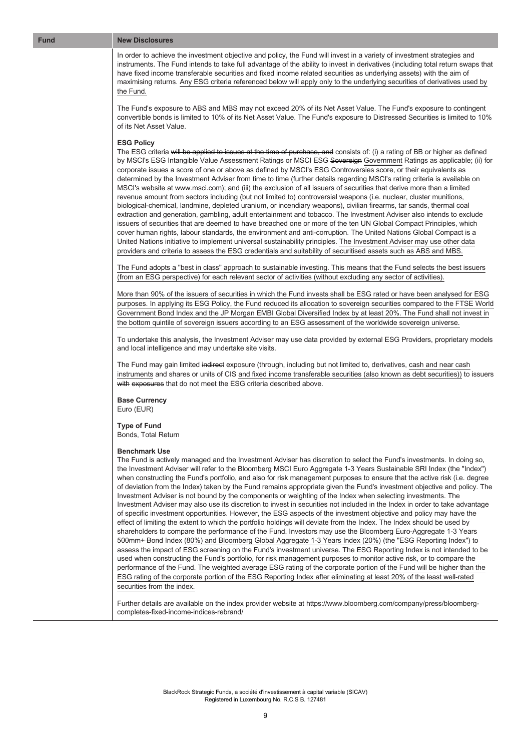#### **Fund New Disclosures**

In order to achieve the investment objective and policy, the Fund will invest in a variety of investment strategies and instruments. The Fund intends to take full advantage of the ability to invest in derivatives (including total return swaps that have fixed income transferable securities and fixed income related securities as underlying assets) with the aim of maximising returns. Any ESG criteria referenced below will apply only to the underlying securities of derivatives used by the Fund.

The Fund's exposure to ABS and MBS may not exceed 20% of its Net Asset Value. The Fund's exposure to contingent convertible bonds is limited to 10% of its Net Asset Value. The Fund's exposure to Distressed Securities is limited to 10% of its Net Asset Value.

#### **ESG Policy**

The ESG criteria will be applied to issues at the time of purchase, and consists of: (i) a rating of BB or higher as defined by MSCI's ESG Intangible Value Assessment Ratings or MSCI ESG Sovereign Government Ratings as applicable; (ii) for corporate issues a score of one or above as defined by MSCI's ESG Controversies score, or their equivalents as determined by the Investment Adviser from time to time (further details regarding MSCI's rating criteria is available on MSCI's website at www.msci.com); and (iii) the exclusion of all issuers of securities that derive more than a limited revenue amount from sectors including (but not limited to) controversial weapons (i.e. nuclear, cluster munitions, biological-chemical, landmine, depleted uranium, or incendiary weapons), civilian firearms, tar sands, thermal coal extraction and generation, gambling, adult entertainment and tobacco. The Investment Adviser also intends to exclude issuers of securities that are deemed to have breached one or more of the ten UN Global Compact Principles, which cover human rights, labour standards, the environment and anti-corruption. The United Nations Global Compact is a United Nations initiative to implement universal sustainability principles. The Investment Adviser may use other data providers and criteria to assess the ESG credentials and suitability of securitised assets such as ABS and MBS.

The Fund adopts a "best in class" approach to sustainable investing. This means that the Fund selects the best issuers (from an ESG perspective) for each relevant sector of activities (without excluding any sector of activities).

More than 90% of the issuers of securities in which the Fund invests shall be ESG rated or have been analysed for ESG purposes. In applying its ESG Policy, the Fund reduced its allocation to sovereign securities compared to the FTSE World Government Bond Index and the JP Morgan EMBI Global Diversified Index by at least 20%. The Fund shall not invest in the bottom quintile of sovereign issuers according to an ESG assessment of the worldwide sovereign universe.

To undertake this analysis, the Investment Adviser may use data provided by external ESG Providers, proprietary models and local intelligence and may undertake site visits.

The Fund may gain limited indirect exposure (through, including but not limited to, derivatives, cash and near cash instruments and shares or units of CIS and fixed income transferable securities (also known as debt securities)) to issuers with exposures that do not meet the ESG criteria described above.

**Base Currency** Euro (EUR)

**Type of Fund** Bonds, Total Return

#### **Benchmark Use**

The Fund is actively managed and the Investment Adviser has discretion to select the Fund's investments. In doing so, the Investment Adviser will refer to the Bloomberg MSCI Euro Aggregate 1-3 Years Sustainable SRI Index (the "Index") when constructing the Fund's portfolio, and also for risk management purposes to ensure that the active risk (i.e. degree of deviation from the Index) taken by the Fund remains appropriate given the Fund's investment objective and policy. The Investment Adviser is not bound by the components or weighting of the Index when selecting investments. The Investment Adviser may also use its discretion to invest in securities not included in the Index in order to take advantage of specific investment opportunities. However, the ESG aspects of the investment objective and policy may have the effect of limiting the extent to which the portfolio holdings will deviate from the Index. The Index should be used by shareholders to compare the performance of the Fund. Investors may use the Bloomberg Euro-Aggregate 1-3 Years 500mm+ Bond Index (80%) and Bloomberg Global Aggregate 1-3 Years Index (20%) (the "ESG Reporting Index") to assess the impact of ESG screening on the Fund's investment universe. The ESG Reporting Index is not intended to be used when constructing the Fund's portfolio, for risk management purposes to monitor active risk, or to compare the performance of the Fund. The weighted average ESG rating of the corporate portion of the Fund will be higher than the ESG rating of the corporate portion of the ESG Reporting Index after eliminating at least 20% of the least well-rated securities from the index.

Further details are available on the index provider website at https://www.bloomberg.com/company/press/bloombergcompletes-fixed-income-indices-rebrand/